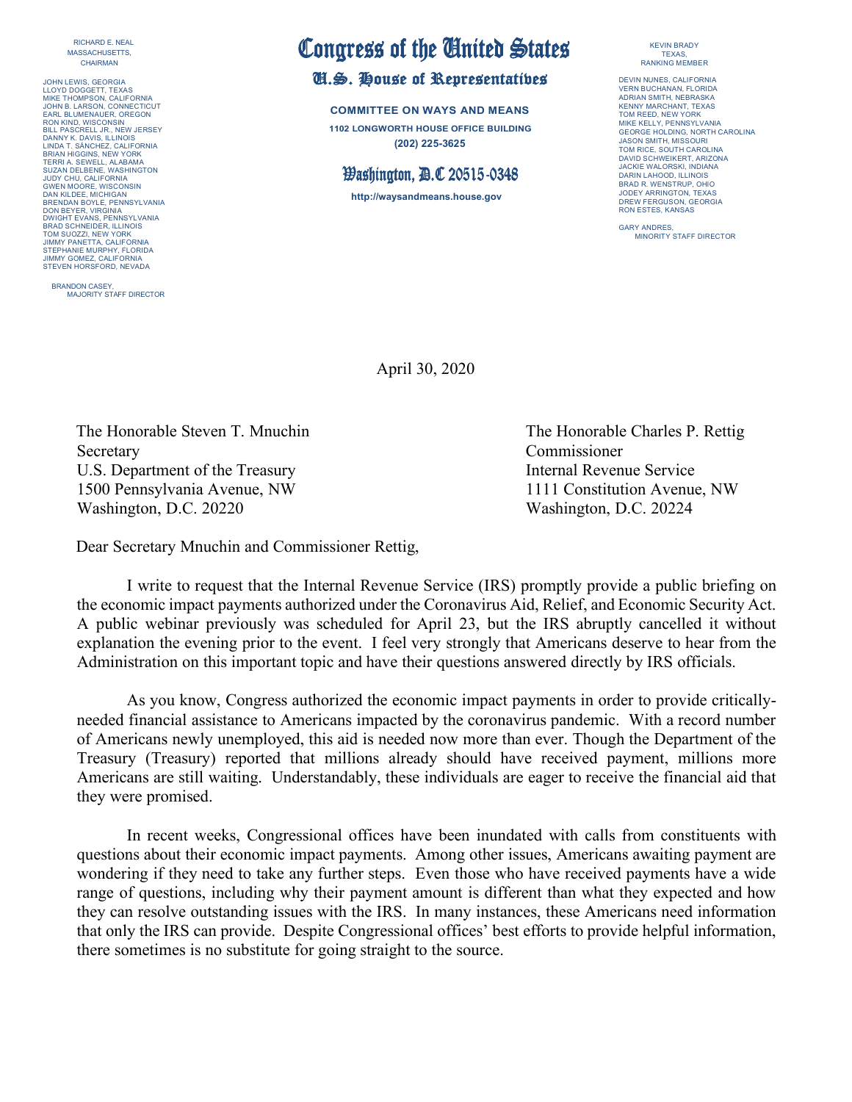RICHARD E. NEAL MASSACHUSETTS, CHAIRMAN

JOHN LEWIS, GEORGIA LLOYD DOGGETT, TEXAS MIKE THOMPSON, CALIFORNIA JOHN B. LARSON, CONNECTICUT EARL BLUMENAUER, OREGON RON KIND, WISCONSIN BILL PASCRELL JR., NEW JERSEY DANNY K. DAVIS, ILLINOIS LINDA T. SÁNCHEZ, CALIFORNIA BRIAN HIGGINS, NEW YORK TERRI A. SEWELL, ALABAMA SUZAN DELBENE, WASHINGTON JUDY CHU, CALIFORNIA GWEN MOORE, WISCONSIN DAN KILDEE, MICHIGAN BRENDAN BOYLE, PENNSYLVANIA DON BEYER, VIRGINIA DWIGHT EVANS, PENNSYLVANIA BRAD SCHNEIDER, ILLINOIS<br>TOM SUOZZI, NEW YORK<br>JIMMY PANETTA, CALIFORNIA<br>STEPHANIE MURPHY, FLORIDA<br>JIMMY GOMEZ, CALIFORNIA STEVEN HORSFORD, NEVADA

BRANDON CASEY, MAJORITY STAFF DIRECTOR

## Congress of the United States<br>U.S. House of Representatives

**COMMITTEE ON WAYS AND MEANS 1102 LONGWORTH HOUSE OFFICE BUILDING (202) 225-3625**

## Washington, D.C 20515-0348

**http://waysandmeans.house.gov**

## KEVIN BRADY TEXAS, RANKING MEMBER

DEVIN NUNES, CALIFORNIA VERN BUCHANAN, FLORIDA ADRIAN SMITH, NEBRASKA KENNY MARCHANT, TEXAS TOM REED, NEW YORK MIKE KELLY, PENNSYLVANIA GEORGE HOLDING, NORTH CAROLINA JASON SMITH, MISSOURI TOM RICE, SOUTH CAROLINA DAVID SCHWEIKERT, ARIZONA JACKIE WALORSKI, INDIANA DARIN LAHOOD, ILLINOIS BRAD R. WENSTRUP, OHIO JODEY ARRINGTON, TEXAS DREW FERGUSON, GEORGIA RON ESTES, KANSAS

GARY ANDRES, MINORITY STAFF DIRECTOR

April 30, 2020

The Honorable Steven T. Mnuchin The Honorable Charles P. Rettig Secretary Commissioner U.S. Department of the Treasury **Internal Revenue Service** Internal Revenue Service 1500 Pennsylvania Avenue, NW 1111 Constitution Avenue, NW Washington, D.C. 20220 Washington, D.C. 20224

Dear Secretary Mnuchin and Commissioner Rettig,

I write to request that the Internal Revenue Service (IRS) promptly provide a public briefing on the economic impact payments authorized under the Coronavirus Aid, Relief, and Economic Security Act. A public webinar previously was scheduled for April 23, but the IRS abruptly cancelled it without explanation the evening prior to the event. I feel very strongly that Americans deserve to hear from the Administration on this important topic and have their questions answered directly by IRS officials.

As you know, Congress authorized the economic impact payments in order to provide criticallyneeded financial assistance to Americans impacted by the coronavirus pandemic. With a record number of Americans newly unemployed, this aid is needed now more than ever. Though the Department of the Treasury (Treasury) reported that millions already should have received payment, millions more Americans are still waiting. Understandably, these individuals are eager to receive the financial aid that they were promised.

In recent weeks, Congressional offices have been inundated with calls from constituents with questions about their economic impact payments. Among other issues, Americans awaiting payment are wondering if they need to take any further steps. Even those who have received payments have a wide range of questions, including why their payment amount is different than what they expected and how they can resolve outstanding issues with the IRS. In many instances, these Americans need information that only the IRS can provide. Despite Congressional offices' best efforts to provide helpful information, there sometimes is no substitute for going straight to the source.